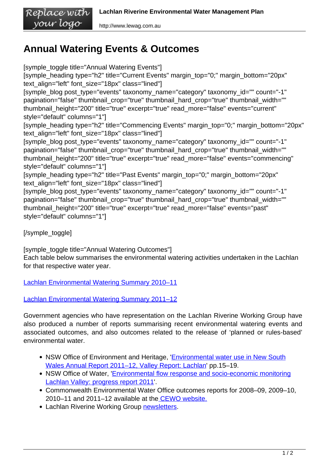## **Annual Watering Events & Outcomes**

[symple\_toggle title="Annual Watering Events"] [symple\_heading type="h2" title="Current Events" margin\_top="0;" margin\_bottom="20px" text\_align="left" font\_size="18px" class="lined"] [symple\_blog post\_type="events" taxonomy\_name="category" taxonomy\_id="" count="-1" pagination="false" thumbnail\_crop="true" thumbnail\_hard\_crop="true" thumbnail\_width="" thumbnail\_height="200" title="true" excerpt="true" read\_more="false" events="current" style="default" columns="1"] [symple\_heading type="h2" title="Commencing Events" margin\_top="0;" margin\_bottom="20px" text\_align="left" font\_size="18px" class="lined"] [symple\_blog post\_type="events" taxonomy\_name="category" taxonomy\_id="" count="-1" pagination="false" thumbnail crop="true" thumbnail hard crop="true" thumbnail width="" thumbnail\_height="200" title="true" excerpt="true" read\_more="false" events="commencing" style="default" columns="1"] [symple\_heading type="h2" title="Past Events" margin\_top="0;" margin\_bottom="20px" text\_align="left" font\_size="18px" class="lined"] [symple\_blog post\_type="events" taxonomy\_name="category" taxonomy\_id="" count="-1" pagination="false" thumbnail\_crop="true" thumbnail\_hard\_crop="true" thumbnail\_width="" thumbnail\_height="200" title="true" excerpt="true" read\_more="false" events="past" style="default" columns="1"]

[/symple\_toggle]

[symple\_toggle title="Annual Watering Outcomes"] Each table below summarises the environmental watering activities undertaken in the Lachlan for that respective water year.

[Lachlan Environmental Watering Summary 2010–11](http://www.lewag.com.au/wp-content/uploads/Lachlan_Environmental_Watering_Summary_Outcomes_2010_11.pdf)

[Lachlan Environmental Watering Summary 2011–12](http://www.lewag.com.au/wp-content/uploads/Lachlan_Environmental_Watering_Summary_Outcomes_2011_12.pdf)

Government agencies who have representation on the Lachlan Riverine Working Group have also produced a number of reports summarising recent environmental watering events and associated outcomes, and also outcomes related to the release of 'planned or rules-based' environmental water.

- NSW Office of Environment and Heritage, '*[Environmental water use in New South](http://www.lewag.com.au/wp-content/uploads/OEH_Annual_Report_2011_12.pdf)* [Wales Annual Report 2011–12, Valley Report: Lachlan](http://www.lewag.com.au/wp-content/uploads/OEH_Annual_Report_2011_12.pdf)' pp.15–19.
- NSW Office of Water, '[Environmental flow response and socio-economic monitoring](http://www.lewag.com.au/wp-content/uploads/NoW_Review_WSP2011.pdf) [Lachlan Valley: progress report 2011](http://www.lewag.com.au/wp-content/uploads/NoW_Review_WSP2011.pdf)'.
- Commonwealth Environmental Water Office outcomes reports for 2008–09, 2009–10, 2010–11 and 2011–12 available at the [CEWO website.](http://www.environment.gov.au/topics/water/commonwealth-environmental-water-office/outcomes)
- Lachlan Riverine Working Group [newsletters.](http://www.lewag.com.au/newsletters/)